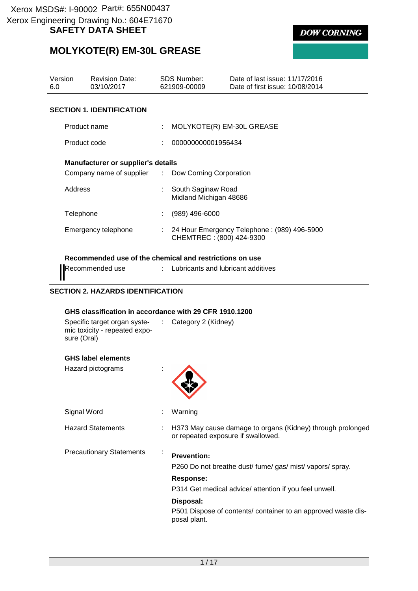# **MOLYKOTE(R) EM-30L GREASE**

| Version                  | <b>Revision Date:</b>                     | SDS Number: |                                              | Date of last issue: 11/17/2016  |  |  |
|--------------------------|-------------------------------------------|-------------|----------------------------------------------|---------------------------------|--|--|
| 6.0                      | 03/10/2017                                |             | 621909-00009                                 | Date of first issue: 10/08/2014 |  |  |
|                          |                                           |             |                                              |                                 |  |  |
|                          | <b>SECTION 1. IDENTIFICATION</b>          |             |                                              |                                 |  |  |
| Product name             |                                           |             | MOLYKOTE(R) EM-30L GREASE                    |                                 |  |  |
| Product code             |                                           |             | 000000000001956434                           |                                 |  |  |
|                          | <b>Manufacturer or supplier's details</b> |             |                                              |                                 |  |  |
| Company name of supplier |                                           |             | : Dow Corning Corporation                    |                                 |  |  |
| Address                  |                                           |             | South Saginaw Road<br>Midland Michigan 48686 |                                 |  |  |

| i iuuutiiaill <del>e</del>                         |    | . MOLTINOTERN LIMPOUL UNLAUL                                            |
|----------------------------------------------------|----|-------------------------------------------------------------------------|
| Product code                                       | ÷. | 000000000001956434                                                      |
| <b>Manufacturer or supplier's details</b>          |    |                                                                         |
| Company name of supplier : Dow Corning Corporation |    |                                                                         |
| Address                                            |    | South Saginaw Road<br>Midland Michigan 48686                            |
| Telephone                                          |    | (989) 496-6000                                                          |
| Emergency telephone                                | t. | 24 Hour Emergency Telephone: (989) 496-5900<br>CHEMTREC: (800) 424-9300 |

#### **Recommended use of the chemical and restrictions on use**

Recommended use : Lubricants and lubricant additives

#### **SECTION 2. HAZARDS IDENTIFICATION**

#### **GHS classification in accordance with 29 CFR 1910.1200**

| Specific target organ syste-  | $\therefore$ Category 2 (Kidney) |
|-------------------------------|----------------------------------|
| mic toxicity - repeated expo- |                                  |
| sure (Oral)                   |                                  |

#### **GHS label elements**

| Hazard pictograms               |                                                                                                  |
|---------------------------------|--------------------------------------------------------------------------------------------------|
| Signal Word                     | Warning                                                                                          |
| <b>Hazard Statements</b>        | H373 May cause damage to organs (Kidney) through prolonged<br>or repeated exposure if swallowed. |
| <b>Precautionary Statements</b> | <b>Prevention:</b><br>P260 Do not breathe dust/ fume/ gas/ mist/ vapors/ spray.                  |
|                                 | Response:<br>P314 Get medical advice/ attention if you feel unwell.                              |
|                                 | Disposal:<br>P501 Dispose of contents/ container to an approved waste dis-<br>posal plant.       |



**DOW CORNING**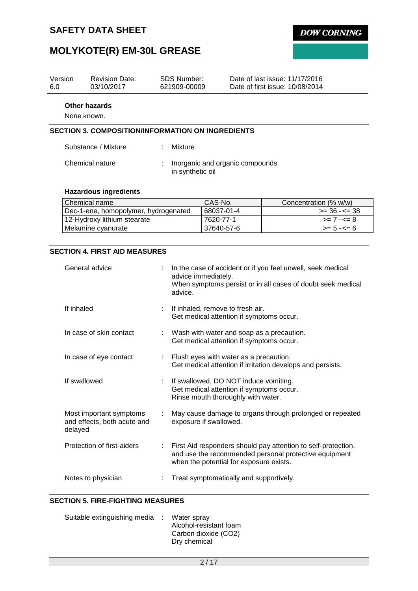

# **MOLYKOTE(R) EM-30L GREASE**

| Version<br>6.0               | <b>Revision Date:</b><br>03/10/2017                      |        | SDS Number:<br>621909-00009                         | Date of last issue: 11/17/2016<br>Date of first issue: 10/08/2014 |  |  |  |  |
|------------------------------|----------------------------------------------------------|--------|-----------------------------------------------------|-------------------------------------------------------------------|--|--|--|--|
| Other hazards<br>None known. |                                                          |        |                                                     |                                                                   |  |  |  |  |
|                              | <b>SECTION 3. COMPOSITION/INFORMATION ON INGREDIENTS</b> |        |                                                     |                                                                   |  |  |  |  |
|                              | Substance / Mixture                                      | $\sim$ | Mixture                                             |                                                                   |  |  |  |  |
|                              | Chemical nature                                          |        | Inorganic and organic compounds<br>in synthetic oil |                                                                   |  |  |  |  |

#### **Hazardous ingredients**

| l Chemical name                      | CAS-No.    | Concentration (% w/w) |
|--------------------------------------|------------|-----------------------|
| Dec-1-ene, homopolymer, hydrogenated | 68037-01-4 | >= 36 -<= 38          |
| 12-Hydroxy lithium stearate          | 7620-77-1  | $>= 7 - 5 = 8$        |
| Melamine cyanurate                   | 37640-57-6 | $>= 5 - 5 = 6$        |

### **SECTION 4. FIRST AID MEASURES**

| General advice                                                    |    | In the case of accident or if you feel unwell, seek medical<br>advice immediately.<br>When symptoms persist or in all cases of doubt seek medical<br>advice.      |
|-------------------------------------------------------------------|----|-------------------------------------------------------------------------------------------------------------------------------------------------------------------|
| If inhaled                                                        |    | If inhaled, remove to fresh air.<br>Get medical attention if symptoms occur.                                                                                      |
| In case of skin contact                                           |    | : Wash with water and soap as a precaution.<br>Get medical attention if symptoms occur.                                                                           |
| In case of eye contact                                            |    | : Flush eyes with water as a precaution.<br>Get medical attention if irritation develops and persists.                                                            |
| If swallowed                                                      |    | If swallowed, DO NOT induce vomiting.<br>Get medical attention if symptoms occur.<br>Rinse mouth thoroughly with water.                                           |
| Most important symptoms<br>and effects, both acute and<br>delayed |    | May cause damage to organs through prolonged or repeated<br>exposure if swallowed.                                                                                |
| Protection of first-aiders                                        | t. | First Aid responders should pay attention to self-protection,<br>and use the recommended personal protective equipment<br>when the potential for exposure exists. |
| Notes to physician                                                |    | Treat symptomatically and supportively.                                                                                                                           |

#### **SECTION 5. FIRE-FIGHTING MEASURES**

| Suitable extinguishing media : Water spray |                        |
|--------------------------------------------|------------------------|
|                                            | Alcohol-resistant foam |
|                                            | Carbon dioxide (CO2)   |
|                                            | Dry chemical           |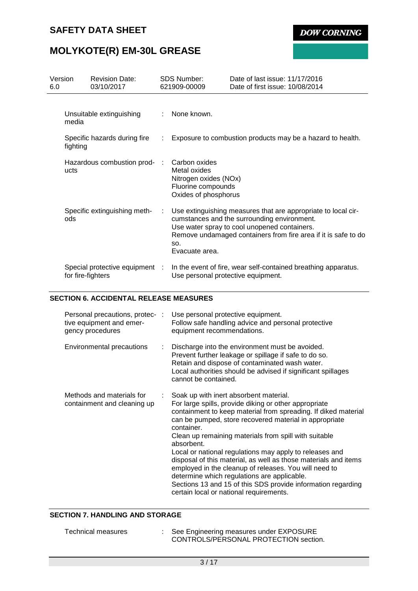**DOW CORNING** 

# **MOLYKOTE(R) EM-30L GREASE**

| Version<br>6.0 |                                          | <b>Revision Date:</b><br>03/10/2017 |     | <b>SDS Number:</b><br>621909-00009                                                                   | Date of last issue: 11/17/2016<br>Date of first issue: 10/08/2014                                                                                                                                                              |  |
|----------------|------------------------------------------|-------------------------------------|-----|------------------------------------------------------------------------------------------------------|--------------------------------------------------------------------------------------------------------------------------------------------------------------------------------------------------------------------------------|--|
|                | media                                    | Unsuitable extinguishing            |     | : None known.                                                                                        |                                                                                                                                                                                                                                |  |
|                | Specific hazards during fire<br>fighting |                                     | ÷.  | Exposure to combustion products may be a hazard to health.                                           |                                                                                                                                                                                                                                |  |
|                | ucts                                     | Hazardous combustion prod-          | -11 | Carbon oxides<br>Metal oxides<br>Nitrogen oxides (NOx)<br>Fluorine compounds<br>Oxides of phosphorus |                                                                                                                                                                                                                                |  |
|                | ods                                      | Specific extinguishing meth-        | ÷   | SO.<br>Evacuate area.                                                                                | Use extinguishing measures that are appropriate to local cir-<br>cumstances and the surrounding environment.<br>Use water spray to cool unopened containers.<br>Remove undamaged containers from fire area if it is safe to do |  |
|                | for fire-fighters                        | Special protective equipment :      |     | Use personal protective equipment.                                                                   | In the event of fire, wear self-contained breathing apparatus.                                                                                                                                                                 |  |

#### **SECTION 6. ACCIDENTAL RELEASE MEASURES**

| Personal precautions, protec- :<br>tive equipment and emer-<br>gency procedures |    | Use personal protective equipment.<br>Follow safe handling advice and personal protective<br>equipment recommendations.                                                                                                                                                                                                                                                                                                                                                                                                                                                                                                                                           |
|---------------------------------------------------------------------------------|----|-------------------------------------------------------------------------------------------------------------------------------------------------------------------------------------------------------------------------------------------------------------------------------------------------------------------------------------------------------------------------------------------------------------------------------------------------------------------------------------------------------------------------------------------------------------------------------------------------------------------------------------------------------------------|
| Environmental precautions                                                       | ÷. | Discharge into the environment must be avoided.<br>Prevent further leakage or spillage if safe to do so.<br>Retain and dispose of contaminated wash water.<br>Local authorities should be advised if significant spillages<br>cannot be contained.                                                                                                                                                                                                                                                                                                                                                                                                                |
| Methods and materials for<br>containment and cleaning up                        |    | Soak up with inert absorbent material.<br>For large spills, provide diking or other appropriate<br>containment to keep material from spreading. If diked material<br>can be pumped, store recovered material in appropriate<br>container.<br>Clean up remaining materials from spill with suitable<br>absorbent.<br>Local or national regulations may apply to releases and<br>disposal of this material, as well as those materials and items<br>employed in the cleanup of releases. You will need to<br>determine which regulations are applicable.<br>Sections 13 and 15 of this SDS provide information regarding<br>certain local or national requirements. |

### **SECTION 7. HANDLING AND STORAGE**

| Technical measures | : See Engineering measures under EXPOSURE |
|--------------------|-------------------------------------------|
|                    | CONTROLS/PERSONAL PROTECTION section.     |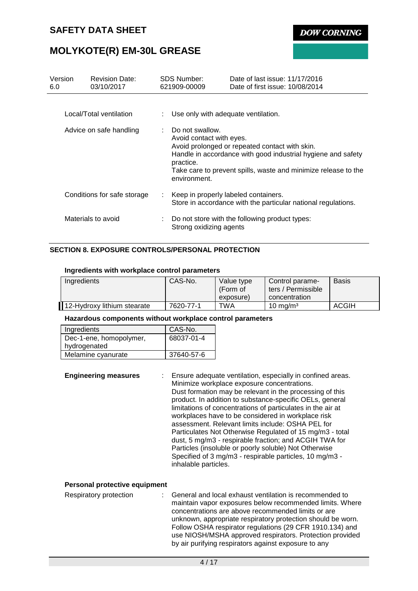**DOW CORNING** 

### **MOLYKOTE(R) EM-30L GREASE**

| Version<br>6.0          |  | <b>Revision Date:</b><br>03/10/2017 |                                                                                                                                                                                                                                                                           | <b>SDS Number:</b><br>621909-00009   | Date of last issue: 11/17/2016<br>Date of first issue: 10/08/2014 |
|-------------------------|--|-------------------------------------|---------------------------------------------------------------------------------------------------------------------------------------------------------------------------------------------------------------------------------------------------------------------------|--------------------------------------|-------------------------------------------------------------------|
|                         |  | Local/Total ventilation             |                                                                                                                                                                                                                                                                           | Use only with adequate ventilation.  |                                                                   |
| Advice on safe handling |  |                                     | $\therefore$ Do not swallow.<br>Avoid contact with eyes.<br>Avoid prolonged or repeated contact with skin.<br>Handle in accordance with good industrial hygiene and safety<br>practice.<br>Take care to prevent spills, waste and minimize release to the<br>environment. |                                      |                                                                   |
|                         |  | Conditions for safe storage         | ÷.                                                                                                                                                                                                                                                                        | Keep in properly labeled containers. | Store in accordance with the particular national regulations.     |
|                         |  | Materials to avoid                  |                                                                                                                                                                                                                                                                           | Strong oxidizing agents              | Do not store with the following product types:                    |

#### **SECTION 8. EXPOSURE CONTROLS/PERSONAL PROTECTION**

#### **Ingredients with workplace control parameters**

| Ingredients                 | CAS-No.   | Value type<br>(Form of<br>exposure) | Control parame-<br>ters / Permissible<br>concentration | Basis |
|-----------------------------|-----------|-------------------------------------|--------------------------------------------------------|-------|
| 12-Hydroxy lithium stearate | 7620-77-1 | TWA                                 | $10 \text{ mg/m}^3$                                    | ACGIH |

#### **Hazardous components without workplace control parameters**

| Ingredients             | CAS-No.    |
|-------------------------|------------|
| Dec-1-ene, homopolymer, | 68037-01-4 |
| hydrogenated            |            |
| Melamine cyanurate      | 37640-57-6 |
|                         |            |

**Engineering measures** : Ensure adequate ventilation, especially in confined areas. Minimize workplace exposure concentrations. Dust formation may be relevant in the processing of this product. In addition to substance-specific OELs, general limitations of concentrations of particulates in the air at workplaces have to be considered in workplace risk assessment. Relevant limits include: OSHA PEL for Particulates Not Otherwise Regulated of 15 mg/m3 - total dust, 5 mg/m3 - respirable fraction; and ACGIH TWA for Particles (insoluble or poorly soluble) Not Otherwise Specified of 3 mg/m3 - respirable particles, 10 mg/m3 inhalable particles.

#### **Personal protective equipment**

| Respiratory protection | General and local exhaust ventilation is recommended to     |
|------------------------|-------------------------------------------------------------|
|                        | maintain vapor exposures below recommended limits. Where    |
|                        | concentrations are above recommended limits or are          |
|                        | unknown, appropriate respiratory protection should be worn. |
|                        | Follow OSHA respirator regulations (29 CFR 1910.134) and    |
|                        | use NIOSH/MSHA approved respirators. Protection provided    |
|                        | by air purifying respirators against exposure to any        |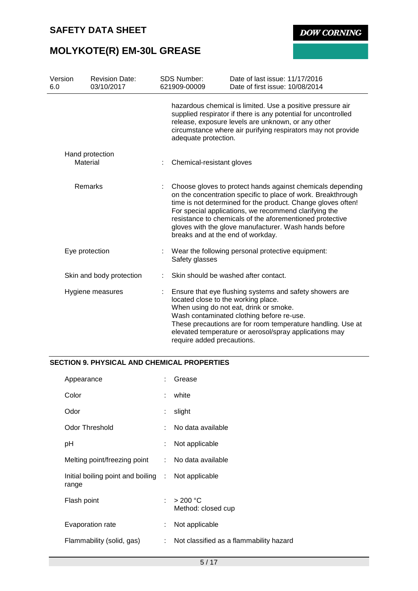**DOW CORNING** 

# **MOLYKOTE(R) EM-30L GREASE**

| Version<br>6.0 | <b>Revision Date:</b><br>03/10/2017 | <b>SDS Number:</b><br>621909-00009                                | Date of last issue: 11/17/2016<br>Date of first issue: 10/08/2014                                                                                                                                                                                                                                                                                                        |
|----------------|-------------------------------------|-------------------------------------------------------------------|--------------------------------------------------------------------------------------------------------------------------------------------------------------------------------------------------------------------------------------------------------------------------------------------------------------------------------------------------------------------------|
|                |                                     | adequate protection.                                              | hazardous chemical is limited. Use a positive pressure air<br>supplied respirator if there is any potential for uncontrolled<br>release, exposure levels are unknown, or any other<br>circumstance where air purifying respirators may not provide                                                                                                                       |
|                | Hand protection<br>Material         | Chemical-resistant gloves                                         |                                                                                                                                                                                                                                                                                                                                                                          |
|                | <b>Remarks</b>                      | breaks and at the end of workday.                                 | Choose gloves to protect hands against chemicals depending<br>on the concentration specific to place of work. Breakthrough<br>time is not determined for the product. Change gloves often!<br>For special applications, we recommend clarifying the<br>resistance to chemicals of the aforementioned protective<br>gloves with the glove manufacturer. Wash hands before |
|                | Eye protection                      | Safety glasses                                                    | : Wear the following personal protective equipment:                                                                                                                                                                                                                                                                                                                      |
|                | Skin and body protection            |                                                                   | Skin should be washed after contact.                                                                                                                                                                                                                                                                                                                                     |
|                | Hygiene measures                    | located close to the working place.<br>require added precautions. | Ensure that eye flushing systems and safety showers are<br>When using do not eat, drink or smoke.<br>Wash contaminated clothing before re-use.<br>These precautions are for room temperature handling. Use at<br>elevated temperature or aerosol/spray applications may                                                                                                  |

#### **SECTION 9. PHYSICAL AND CHEMICAL PROPERTIES**

| Appearance                                                  | t. | Grease                                  |
|-------------------------------------------------------------|----|-----------------------------------------|
| Color                                                       | ÷  | white                                   |
| Odor                                                        | ÷  | slight                                  |
| <b>Odor Threshold</b>                                       |    | No data available                       |
| рH                                                          | ÷. | Not applicable                          |
| Melting point/freezing point : No data available            |    |                                         |
| Initial boiling point and boiling : Not applicable<br>range |    |                                         |
| Flash point                                                 | t. | $>200$ °C<br>Method: closed cup         |
| Evaporation rate                                            | ÷. | Not applicable                          |
| Flammability (solid, gas)                                   | ÷  | Not classified as a flammability hazard |
|                                                             |    |                                         |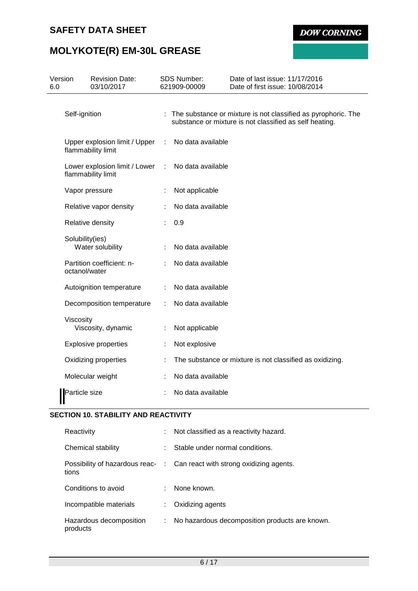**DOW CORNING** 

# **MOLYKOTE(R) EM-30L GREASE**

| Version<br>6.0 |                                                     | <b>Revision Date:</b><br>03/10/2017                 | <b>SDS Number:</b><br>621909-00009 | Date of last issue: 11/17/2016<br>Date of first issue: 10/08/2014                                                          |
|----------------|-----------------------------------------------------|-----------------------------------------------------|------------------------------------|----------------------------------------------------------------------------------------------------------------------------|
|                | Self-ignition                                       |                                                     |                                    | : The substance or mixture is not classified as pyrophoric. The<br>substance or mixture is not classified as self heating. |
|                | Upper explosion limit / Upper<br>flammability limit |                                                     | No data available                  |                                                                                                                            |
|                |                                                     | Lower explosion limit / Lower<br>flammability limit | No data available                  |                                                                                                                            |
|                |                                                     | Vapor pressure                                      | Not applicable                     |                                                                                                                            |
|                |                                                     | Relative vapor density                              | No data available                  |                                                                                                                            |
|                |                                                     | Relative density                                    | 0.9                                |                                                                                                                            |
|                | Solubility(ies)                                     | Water solubility                                    | No data available                  |                                                                                                                            |
|                | octanol/water                                       | Partition coefficient: n-                           | No data available                  |                                                                                                                            |
|                |                                                     | Autoignition temperature                            | No data available                  |                                                                                                                            |
|                |                                                     | Decomposition temperature                           | No data available                  |                                                                                                                            |
|                | Viscosity                                           | Viscosity, dynamic                                  | Not applicable                     |                                                                                                                            |
|                |                                                     | <b>Explosive properties</b>                         | Not explosive                      |                                                                                                                            |
|                |                                                     | Oxidizing properties                                |                                    | The substance or mixture is not classified as oxidizing.                                                                   |
|                |                                                     | Molecular weight                                    | No data available                  |                                                                                                                            |
| Ш              | Particle size                                       |                                                     | No data available                  |                                                                                                                            |

### **SECTION 10. STABILITY AND REACTIVITY**

| Reactivity                          | ÷. | Not classified as a reactivity hazard.                                   |
|-------------------------------------|----|--------------------------------------------------------------------------|
| Chemical stability                  | ÷  | Stable under normal conditions.                                          |
| tions                               |    | Possibility of hazardous reac- : Can react with strong oxidizing agents. |
| Conditions to avoid                 |    | None known.                                                              |
| Incompatible materials              |    | Oxidizing agents                                                         |
| Hazardous decomposition<br>products |    | No hazardous decomposition products are known.                           |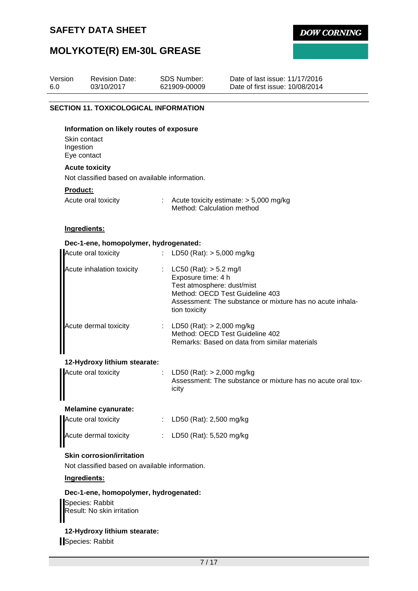**DOW CORNING** 

# **MOLYKOTE(R) EM-30L GREASE**

| Version<br>6.0  | <b>Revision Date:</b><br>03/10/2017                                                | <b>SDS Number:</b><br>621909-00009                                | Date of last issue: 11/17/2016<br>Date of first issue: 10/08/2014                                                          |
|-----------------|------------------------------------------------------------------------------------|-------------------------------------------------------------------|----------------------------------------------------------------------------------------------------------------------------|
|                 | <b>SECTION 11. TOXICOLOGICAL INFORMATION</b>                                       |                                                                   |                                                                                                                            |
| Ingestion       | Information on likely routes of exposure<br>Skin contact<br>Eye contact            |                                                                   |                                                                                                                            |
|                 | <b>Acute toxicity</b>                                                              |                                                                   |                                                                                                                            |
|                 | Not classified based on available information.                                     |                                                                   |                                                                                                                            |
| <b>Product:</b> | Acute oral toxicity                                                                |                                                                   | : Acute toxicity estimate: $> 5,000$ mg/kg<br>Method: Calculation method                                                   |
|                 | Ingredients:                                                                       |                                                                   |                                                                                                                            |
|                 | Dec-1-ene, homopolymer, hydrogenated:                                              |                                                                   |                                                                                                                            |
|                 | Acute oral toxicity                                                                |                                                                   | : LD50 (Rat): $> 5,000$ mg/kg                                                                                              |
|                 | Acute inhalation toxicity                                                          | $LC50$ (Rat): $> 5.2$ mg/l<br>Exposure time: 4 h<br>tion toxicity | Test atmosphere: dust/mist<br>Method: OECD Test Guideline 403<br>Assessment: The substance or mixture has no acute inhala- |
|                 | Acute dermal toxicity                                                              |                                                                   | : LD50 (Rat): $> 2,000$ mg/kg<br>Method: OECD Test Guideline 402<br>Remarks: Based on data from similar materials          |
|                 | 12-Hydroxy lithium stearate:                                                       |                                                                   |                                                                                                                            |
|                 | Acute oral toxicity                                                                | icity                                                             | LD50 (Rat): $> 2,000$ mg/kg<br>Assessment: The substance or mixture has no acute oral tox-                                 |
|                 | <b>Melamine cyanurate:</b>                                                         |                                                                   |                                                                                                                            |
|                 | Acute oral toxicity                                                                |                                                                   | LD50 (Rat): 2,500 mg/kg                                                                                                    |
|                 | Acute dermal toxicity                                                              |                                                                   | LD50 (Rat): 5,520 mg/kg                                                                                                    |
|                 | <b>Skin corrosion/irritation</b><br>Not classified based on available information. |                                                                   |                                                                                                                            |
|                 | Ingredients:                                                                       |                                                                   |                                                                                                                            |
|                 | Dec-1-ene, homopolymer, hydrogenated:                                              |                                                                   |                                                                                                                            |
|                 | Species: Rabbit<br>Result: No skin irritation                                      |                                                                   |                                                                                                                            |
|                 | 12-Hydroxy lithium stearate:                                                       |                                                                   |                                                                                                                            |

Species: Rabbit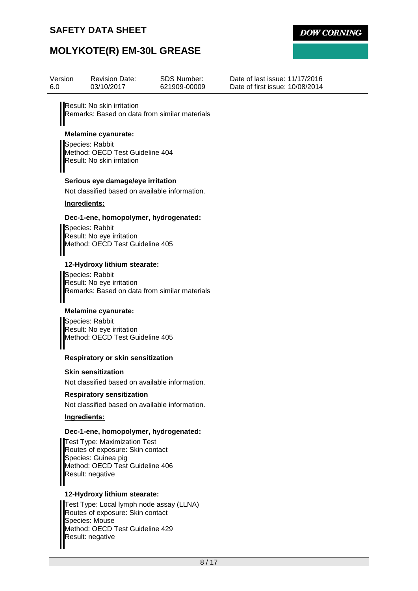

## **MOLYKOTE(R) EM-30L GREASE**

| Version<br>6.0                   | <b>Revision Date:</b><br>03/10/2017                                             | SDS Number:<br>621909-00009 | Date of last issue: 11/17/2016<br>Date of first issue: 10/08/2014 |  |  |  |  |  |
|----------------------------------|---------------------------------------------------------------------------------|-----------------------------|-------------------------------------------------------------------|--|--|--|--|--|
|                                  | Result: No skin irritation<br>Remarks: Based on data from similar materials     |                             |                                                                   |  |  |  |  |  |
|                                  | <b>Melamine cyanurate:</b>                                                      |                             |                                                                   |  |  |  |  |  |
|                                  | Species: Rabbit                                                                 |                             |                                                                   |  |  |  |  |  |
|                                  | Method: OECD Test Guideline 404                                                 |                             |                                                                   |  |  |  |  |  |
|                                  | Result: No skin irritation                                                      |                             |                                                                   |  |  |  |  |  |
|                                  | Serious eye damage/eye irritation                                               |                             |                                                                   |  |  |  |  |  |
|                                  | Not classified based on available information.                                  |                             |                                                                   |  |  |  |  |  |
| Ingredients:                     |                                                                                 |                             |                                                                   |  |  |  |  |  |
|                                  | Dec-1-ene, homopolymer, hydrogenated:                                           |                             |                                                                   |  |  |  |  |  |
|                                  | Species: Rabbit<br>Result: No eye irritation<br>Method: OECD Test Guideline 405 |                             |                                                                   |  |  |  |  |  |
|                                  | 12-Hydroxy lithium stearate:                                                    |                             |                                                                   |  |  |  |  |  |
|                                  | Species: Rabbit                                                                 |                             |                                                                   |  |  |  |  |  |
|                                  | Result: No eye irritation                                                       |                             |                                                                   |  |  |  |  |  |
|                                  | Remarks: Based on data from similar materials                                   |                             |                                                                   |  |  |  |  |  |
|                                  | <b>Melamine cyanurate:</b>                                                      |                             |                                                                   |  |  |  |  |  |
|                                  | Species: Rabbit                                                                 |                             |                                                                   |  |  |  |  |  |
|                                  | Result: No eye irritation<br>Method: OECD Test Guideline 405                    |                             |                                                                   |  |  |  |  |  |
|                                  |                                                                                 |                             |                                                                   |  |  |  |  |  |
|                                  | <b>Respiratory or skin sensitization</b>                                        |                             |                                                                   |  |  |  |  |  |
|                                  | <b>Skin sensitization</b>                                                       |                             |                                                                   |  |  |  |  |  |
|                                  | Not classified based on available information.                                  |                             |                                                                   |  |  |  |  |  |
| <b>Respiratory sensitization</b> |                                                                                 |                             |                                                                   |  |  |  |  |  |
|                                  | Not classified based on available information.                                  |                             |                                                                   |  |  |  |  |  |
| Ingredients:                     |                                                                                 |                             |                                                                   |  |  |  |  |  |
|                                  |                                                                                 |                             |                                                                   |  |  |  |  |  |

#### **Dec-1-ene, homopolymer, hydrogenated:**

Test Type: Maximization Test Routes of exposure: Skin contact Species: Guinea pig Method: OECD Test Guideline 406 Result: negative

#### **12-Hydroxy lithium stearate:**

Test Type: Local lymph node assay (LLNA) Routes of exposure: Skin contact Species: Mouse Method: OECD Test Guideline 429 Result: negative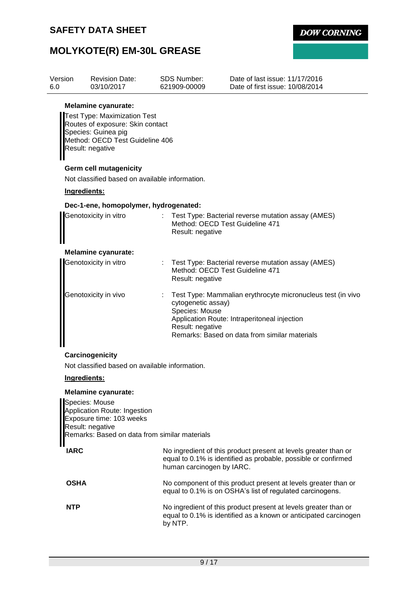**DOW CORNING** 

# **MOLYKOTE(R) EM-30L GREASE**

| Version<br>6.0 | <b>Revision Date:</b><br>03/10/2017                                                                                                                                                                                                                             | <b>SDS Number:</b><br>621909-00009                       | Date of last issue: 11/17/2016<br>Date of first issue: 10/08/2014                                                                                            |
|----------------|-----------------------------------------------------------------------------------------------------------------------------------------------------------------------------------------------------------------------------------------------------------------|----------------------------------------------------------|--------------------------------------------------------------------------------------------------------------------------------------------------------------|
|                | <b>Melamine cyanurate:</b><br>Test Type: Maximization Test<br>Routes of exposure: Skin contact<br>Species: Guinea pig<br>Method: OECD Test Guideline 406<br>Result: negative<br><b>Germ cell mutagenicity</b><br>Not classified based on available information. |                                                          |                                                                                                                                                              |
| Ingredients:   |                                                                                                                                                                                                                                                                 |                                                          |                                                                                                                                                              |
|                | Dec-1-ene, homopolymer, hydrogenated:                                                                                                                                                                                                                           |                                                          |                                                                                                                                                              |
|                | Genotoxicity in vitro                                                                                                                                                                                                                                           | Result: negative                                         | Test Type: Bacterial reverse mutation assay (AMES)<br>Method: OECD Test Guideline 471                                                                        |
|                | <b>Melamine cyanurate:</b>                                                                                                                                                                                                                                      |                                                          |                                                                                                                                                              |
|                | Genotoxicity in vitro                                                                                                                                                                                                                                           | Result: negative                                         | Test Type: Bacterial reverse mutation assay (AMES)<br>Method: OECD Test Guideline 471                                                                        |
|                | Genotoxicity in vivo                                                                                                                                                                                                                                            | cytogenetic assay)<br>Species: Mouse<br>Result: negative | Test Type: Mammalian erythrocyte micronucleus test (in vivo<br>Application Route: Intraperitoneal injection<br>Remarks: Based on data from similar materials |
|                | Carcinogenicity                                                                                                                                                                                                                                                 |                                                          |                                                                                                                                                              |
|                | Not classified based on available information.                                                                                                                                                                                                                  |                                                          |                                                                                                                                                              |
| Ingredients:   |                                                                                                                                                                                                                                                                 |                                                          |                                                                                                                                                              |
|                | <b>Melamine cyanurate:</b><br>Species: Mouse<br>Application Route: Ingestion<br>Exposure time: 103 weeks<br>Result: negative<br>Remarks: Based on data from similar materials                                                                                   |                                                          |                                                                                                                                                              |
| <b>IARC</b>    |                                                                                                                                                                                                                                                                 | human carcinogen by IARC.                                | No ingredient of this product present at levels greater than or<br>equal to 0.1% is identified as probable, possible or confirmed                            |
| <b>OSHA</b>    |                                                                                                                                                                                                                                                                 |                                                          | No component of this product present at levels greater than or<br>equal to 0.1% is on OSHA's list of regulated carcinogens.                                  |
| <b>NTP</b>     |                                                                                                                                                                                                                                                                 | by NTP.                                                  | No ingredient of this product present at levels greater than or<br>equal to 0.1% is identified as a known or anticipated carcinogen                          |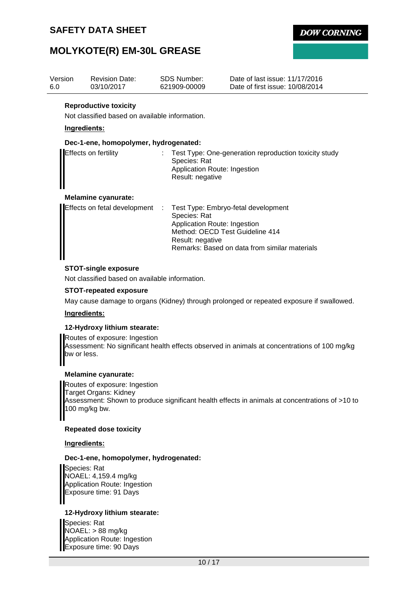**DOW CORNING** 

### **MOLYKOTE(R) EM-30L GREASE**

| Version<br>6.0                                                                                                                                                                                                                      | <b>Revision Date:</b><br>03/10/2017            |  | SDS Number:<br>621909-00009                                                                                               | Date of last issue: 11/17/2016<br>Date of first issue: 10/08/2014 |  |  |
|-------------------------------------------------------------------------------------------------------------------------------------------------------------------------------------------------------------------------------------|------------------------------------------------|--|---------------------------------------------------------------------------------------------------------------------------|-------------------------------------------------------------------|--|--|
| <b>Reproductive toxicity</b><br>Not classified based on available information.<br>Ingredients:<br>Dec-1-ene, homopolymer, hydrogenated:                                                                                             |                                                |  |                                                                                                                           |                                                                   |  |  |
|                                                                                                                                                                                                                                     |                                                |  |                                                                                                                           |                                                                   |  |  |
|                                                                                                                                                                                                                                     | Effects on fertility                           |  | Test Type: One-generation reproduction toxicity study<br>Species: Rat<br>Application Route: Ingestion<br>Result: negative |                                                                   |  |  |
|                                                                                                                                                                                                                                     | <b>Melamine cyanurate:</b>                     |  |                                                                                                                           |                                                                   |  |  |
| Effects on fetal development<br>Test Type: Embryo-fetal development<br>- 11<br>Species: Rat<br>Application Route: Ingestion<br>Method: OECD Test Guideline 414<br>Result: negative<br>Remarks: Based on data from similar materials |                                                |  |                                                                                                                           |                                                                   |  |  |
|                                                                                                                                                                                                                                     | <b>STOT-single exposure</b>                    |  |                                                                                                                           |                                                                   |  |  |
|                                                                                                                                                                                                                                     | Not classified based on available information. |  |                                                                                                                           |                                                                   |  |  |

#### **STOT-repeated exposure**

May cause damage to organs (Kidney) through prolonged or repeated exposure if swallowed.

#### **Ingredients:**

#### **12-Hydroxy lithium stearate:**

Routes of exposure: Ingestion Assessment: No significant health effects observed in animals at concentrations of 100 mg/kg bw or less.

#### **Melamine cyanurate:**

Routes of exposure: Ingestion Target Organs: Kidney Assessment: Shown to produce significant health effects in animals at concentrations of >10 to 100 mg/kg bw.

#### **Repeated dose toxicity**

#### **Ingredients:**

#### **Dec-1-ene, homopolymer, hydrogenated:**

Species: Rat NOAEL: 4,159.4 mg/kg Application Route: Ingestion Exposure time: 91 Days

#### **12-Hydroxy lithium stearate:**

Species: Rat NOAEL: > 88 mg/kg Application Route: Ingestion Exposure time: 90 Days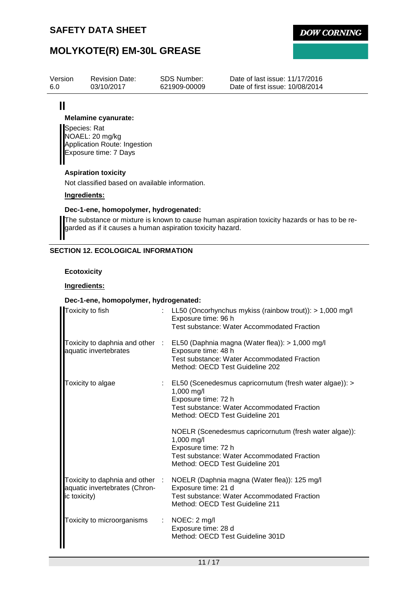

### **MOLYKOTE(R) EM-30L GREASE**

| Version | <b>Revision Date:</b>      | SDS Number:  | Date of last issue: 11/17/2016  |
|---------|----------------------------|--------------|---------------------------------|
| 6.0     | 03/10/2017                 | 621909-00009 | Date of first issue: 10/08/2014 |
|         | <b>Melamine cyanurate:</b> |              |                                 |

Species: Rat NOAEL: 20 mg/kg Application Route: Ingestion Exposure time: 7 Days

#### **Aspiration toxicity**

Not classified based on available information.

#### **Ingredients:**

#### **Dec-1-ene, homopolymer, hydrogenated:**

The substance or mixture is known to cause human aspiration toxicity hazards or has to be regarded as if it causes a human aspiration toxicity hazard.

#### **SECTION 12. ECOLOGICAL INFORMATION**

#### **Ecotoxicity**

#### **Ingredients:**

#### **Dec-1-ene, homopolymer, hydrogenated:**

| Toxicity to fish                                                                 |   | LL50 (Oncorhynchus mykiss (rainbow trout)): $> 1,000$ mg/l<br>Exposure time: 96 h<br>Test substance: Water Accommodated Fraction                                                     |
|----------------------------------------------------------------------------------|---|--------------------------------------------------------------------------------------------------------------------------------------------------------------------------------------|
| Toxicity to daphnia and other :<br>aquatic invertebrates                         |   | EL50 (Daphnia magna (Water flea)): > 1,000 mg/l<br>Exposure time: 48 h<br>Test substance: Water Accommodated Fraction<br>Method: OECD Test Guideline 202                             |
| Toxicity to algae                                                                |   | EL50 (Scenedesmus capricornutum (fresh water algae)): ><br>1,000 mg/l<br>Exposure time: 72 h<br>Test substance: Water Accommodated Fraction<br>Method: OECD Test Guideline 201       |
|                                                                                  |   | NOELR (Scenedesmus capricornutum (fresh water algae)):<br>1,000 mg/l<br>Exposure time: 72 h<br><b>Test substance: Water Accommodated Fraction</b><br>Method: OECD Test Guideline 201 |
| Toxicity to daphnia and other :<br>aquatic invertebrates (Chron-<br>ic toxicity) |   | NOELR (Daphnia magna (Water flea)): 125 mg/l<br>Exposure time: 21 d<br>Test substance: Water Accommodated Fraction<br>Method: OECD Test Guideline 211                                |
| Toxicity to microorganisms                                                       | ÷ | NOEC: 2 mg/l<br>Exposure time: 28 d<br>Method: OECD Test Guideline 301D                                                                                                              |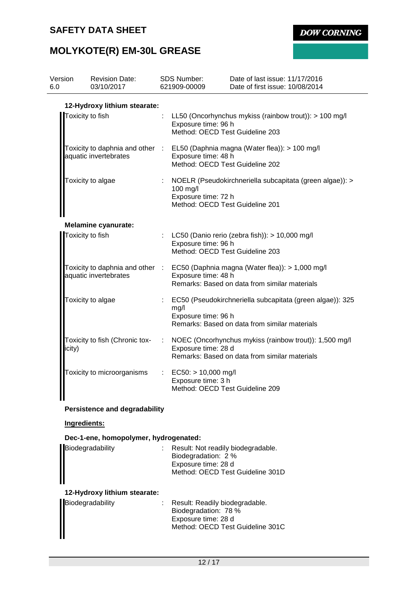**DOW CORNING** 

# **MOLYKOTE(R) EM-30L GREASE**

| Version<br>6.0   | <b>Revision Date:</b><br>03/10/2017   |                            | SDS Number:<br>621909-00009                                                      | Date of last issue: 11/17/2016<br>Date of first issue: 10/08/2014                                                                |
|------------------|---------------------------------------|----------------------------|----------------------------------------------------------------------------------|----------------------------------------------------------------------------------------------------------------------------------|
|                  | 12-Hydroxy lithium stearate:          |                            |                                                                                  |                                                                                                                                  |
| Toxicity to fish |                                       |                            | Exposure time: 96 h<br>Method: OECD Test Guideline 203                           | : LL50 (Oncorhynchus mykiss (rainbow trout)): > 100 mg/l                                                                         |
|                  | aquatic invertebrates                 |                            | Exposure time: 48 h<br>Method: OECD Test Guideline 202                           | Toxicity to daphnia and other : EL50 (Daphnia magna (Water flea)): > 100 mg/l                                                    |
|                  | Toxicity to algae                     |                            | 100 mg/l<br>Exposure time: 72 h<br>Method: OECD Test Guideline 201               | NOELR (Pseudokirchneriella subcapitata (green algae)): >                                                                         |
|                  | <b>Melamine cyanurate:</b>            |                            |                                                                                  |                                                                                                                                  |
| Toxicity to fish |                                       |                            | Exposure time: 96 h<br>Method: OECD Test Guideline 203                           | : LC50 (Danio rerio (zebra fish)): $> 10,000$ mg/l                                                                               |
|                  | aquatic invertebrates                 |                            | Exposure time: 48 h                                                              | Toxicity to daphnia and other : EC50 (Daphnia magna (Water flea)): > 1,000 mg/l<br>Remarks: Based on data from similar materials |
|                  | Toxicity to algae                     | ÷.                         | mg/l<br>Exposure time: 96 h                                                      | EC50 (Pseudokirchneriella subcapitata (green algae)): 325<br>Remarks: Based on data from similar materials                       |
| icity)           | Toxicity to fish (Chronic tox-        |                            | Exposure time: 28 d                                                              | : NOEC (Oncorhynchus mykiss (rainbow trout)): 1,500 mg/l<br>Remarks: Based on data from similar materials                        |
|                  | Toxicity to microorganisms            | $\mathcal{L}^{\text{max}}$ | $EC50:$ > 10,000 mg/l<br>Exposure time: 3 h<br>Method: OECD Test Guideline 209   |                                                                                                                                  |
|                  | <b>Persistence and degradability</b>  |                            |                                                                                  |                                                                                                                                  |
| Ingredients:     |                                       |                            |                                                                                  |                                                                                                                                  |
|                  | Dec-1-ene, homopolymer, hydrogenated: |                            |                                                                                  |                                                                                                                                  |
|                  | Biodegradability                      |                            | Result: Not readily biodegradable.<br>Biodegradation: 2 %<br>Exposure time: 28 d | Method: OECD Test Guideline 301D                                                                                                 |
|                  | 12-Hydroxy lithium stearate:          |                            |                                                                                  |                                                                                                                                  |

| Biodegradability | Result: Readily biodegradable.   |
|------------------|----------------------------------|
|                  | Biodegradation: 78 %             |
|                  | Exposure time: 28 d              |
|                  | Method: OECD Test Guideline 301C |
|                  |                                  |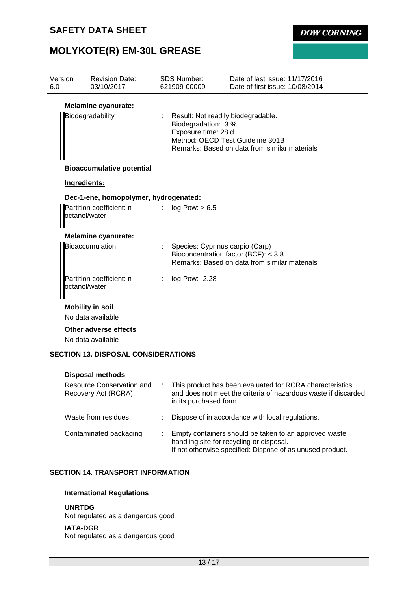**DOW CORNING** 

# **MOLYKOTE(R) EM-30L GREASE**

| Version<br>6.0 | <b>Revision Date:</b><br>03/10/2017                                |                           | <b>SDS Number:</b><br>621909-00009                                               | Date of last issue: 11/17/2016<br>Date of first issue: 10/08/2014                 |
|----------------|--------------------------------------------------------------------|---------------------------|----------------------------------------------------------------------------------|-----------------------------------------------------------------------------------|
|                | <b>Melamine cyanurate:</b><br>Biodegradability                     | $\mathbb{Z}^{\mathbb{Z}}$ | Result: Not readily biodegradable.<br>Biodegradation: 3 %<br>Exposure time: 28 d | Method: OECD Test Guideline 301B<br>Remarks: Based on data from similar materials |
|                | <b>Bioaccumulative potential</b>                                   |                           |                                                                                  |                                                                                   |
| Ingredients:   |                                                                    |                           |                                                                                  |                                                                                   |
| octanol/water  | Dec-1-ene, homopolymer, hydrogenated:<br>Partition coefficient: n- | t.                        | log Pow: > 6.5                                                                   |                                                                                   |
|                | <b>Melamine cyanurate:</b>                                         |                           |                                                                                  |                                                                                   |
|                | Bioaccumulation                                                    | ÷.                        | Species: Cyprinus carpio (Carp)<br>Bioconcentration factor (BCF): < 3.8          | Remarks: Based on data from similar materials                                     |
| octanol/water  | Partition coefficient: n-                                          | ÷.                        | log Pow: -2.28                                                                   |                                                                                   |
|                | <b>Mobility in soil</b>                                            |                           |                                                                                  |                                                                                   |
|                | No data available                                                  |                           |                                                                                  |                                                                                   |
|                | Other adverse effects<br>No data available                         |                           |                                                                                  |                                                                                   |
|                | <b>SECTION 13. DISPOSAL CONSIDERATIONS</b>                         |                           |                                                                                  |                                                                                   |

| <b>Disposal methods</b>                          |    |                                                                                                                                                                |
|--------------------------------------------------|----|----------------------------------------------------------------------------------------------------------------------------------------------------------------|
| Resource Conservation and<br>Recovery Act (RCRA) | ÷. | This product has been evaluated for RCRA characteristics<br>and does not meet the criteria of hazardous waste if discarded<br>in its purchased form.           |
| Waste from residues                              |    | Dispose of in accordance with local regulations.                                                                                                               |
| Contaminated packaging                           |    | Empty containers should be taken to an approved waste<br>handling site for recycling or disposal.<br>If not otherwise specified: Dispose of as unused product. |

#### **SECTION 14. TRANSPORT INFORMATION**

#### **International Regulations**

#### **UNRTDG**

Not regulated as a dangerous good

#### **IATA-DGR**

Not regulated as a dangerous good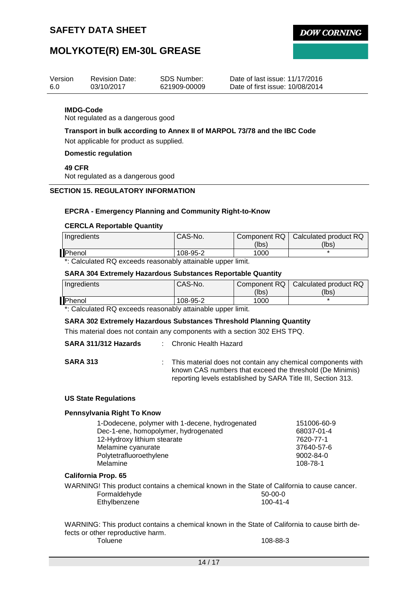**DOW CORNING** 

### **MOLYKOTE(R) EM-30L GREASE**

| Version | <b>Revision Date:</b> | SDS Number:  | Date of last issue: 11/17/2016  |
|---------|-----------------------|--------------|---------------------------------|
| 6.0     | 03/10/2017            | 621909-00009 | Date of first issue: 10/08/2014 |

#### **IMDG-Code**

Not regulated as a dangerous good

#### **Transport in bulk according to Annex II of MARPOL 73/78 and the IBC Code**

Not applicable for product as supplied.

**Domestic regulation**

**49 CFR**

Not regulated as a dangerous good

#### **SECTION 15. REGULATORY INFORMATION**

#### **EPCRA - Emergency Planning and Community Right-to-Know**

#### **CERCLA Reportable Quantity**

| Ingredients | CAS-No.  |       | Component RQ   Calculated product RQ |
|-------------|----------|-------|--------------------------------------|
|             |          | (lbs) | (lbs)                                |
| Phenol      | 108-95-2 | 1000  |                                      |

\*: Calculated RQ exceeds reasonably attainable upper limit.

#### **SARA 304 Extremely Hazardous Substances Reportable Quantity**

| Ingredients | CAS-No.  |       | Component RQ   Calculated product RQ |
|-------------|----------|-------|--------------------------------------|
|             |          | (lbs) | (lbs)                                |
| Phenol      | 108-95-2 | 1000  |                                      |

\*: Calculated RQ exceeds reasonably attainable upper limit.

#### **SARA 302 Extremely Hazardous Substances Threshold Planning Quantity**

This material does not contain any components with a section 302 EHS TPQ.

| SARA 311/312 Hazards |  | <b>Chronic Health Hazard</b> |
|----------------------|--|------------------------------|
|----------------------|--|------------------------------|

**SARA 313** : This material does not contain any chemical components with known CAS numbers that exceed the threshold (De Minimis) reporting levels established by SARA Title III, Section 313.

#### **US State Regulations**

#### **Pennsylvania Right To Know**

| 1-Dodecene, polymer with 1-decene, hydrogenated | 151006-60-9 |
|-------------------------------------------------|-------------|
| Dec-1-ene, homopolymer, hydrogenated            | 68037-01-4  |
| 12-Hydroxy lithium stearate                     | 7620-77-1   |
| Melamine cyanurate                              | 37640-57-6  |
| Polytetrafluoroethylene                         | 9002-84-0   |
| Melamine                                        | 108-78-1    |

#### **California Prop. 65**

WARNING! This product contains a chemical known in the State of California to cause cancer. Formaldehyde 50-00-0 Ethylbenzene 100-41-4

WARNING: This product contains a chemical known in the State of California to cause birth defects or other reproductive harm. 108-88-3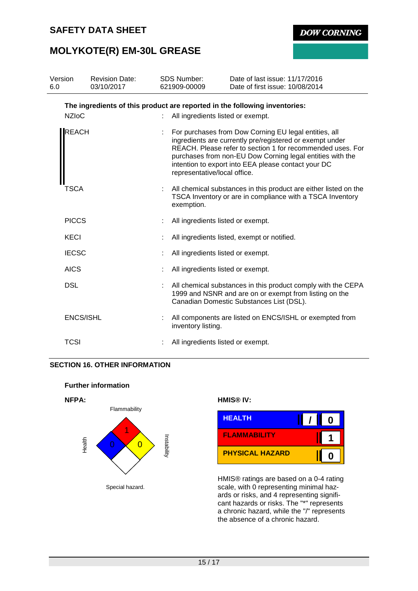**DOW CORNING** 

## **MOLYKOTE(R) EM-30L GREASE**

| Version<br>6.0 | <b>Revision Date:</b><br>03/10/2017                                        | <b>SDS Number:</b><br>621909-00009 | Date of last issue: 11/17/2016<br>Date of first issue: 10/08/2014                                                                                                                                                                                                                                   |
|----------------|----------------------------------------------------------------------------|------------------------------------|-----------------------------------------------------------------------------------------------------------------------------------------------------------------------------------------------------------------------------------------------------------------------------------------------------|
|                | The ingredients of this product are reported in the following inventories: |                                    |                                                                                                                                                                                                                                                                                                     |
|                | <b>NZIoC</b>                                                               | All ingredients listed or exempt.  |                                                                                                                                                                                                                                                                                                     |
|                | <b>REACH</b>                                                               | representative/local office.       | For purchases from Dow Corning EU legal entities, all<br>ingredients are currently pre/registered or exempt under<br>REACH. Please refer to section 1 for recommended uses. For<br>purchases from non-EU Dow Corning legal entities with the<br>intention to export into EEA please contact your DC |
|                | TSCA                                                                       | exemption.                         | All chemical substances in this product are either listed on the<br>TSCA Inventory or are in compliance with a TSCA Inventory                                                                                                                                                                       |
|                | <b>PICCS</b>                                                               | All ingredients listed or exempt.  |                                                                                                                                                                                                                                                                                                     |
|                | KECI                                                                       |                                    | All ingredients listed, exempt or notified.                                                                                                                                                                                                                                                         |
|                | <b>IECSC</b>                                                               | All ingredients listed or exempt.  |                                                                                                                                                                                                                                                                                                     |
|                | <b>AICS</b>                                                                | All ingredients listed or exempt.  |                                                                                                                                                                                                                                                                                                     |
|                | <b>DSL</b>                                                                 |                                    | All chemical substances in this product comply with the CEPA<br>1999 and NSNR and are on or exempt from listing on the<br>Canadian Domestic Substances List (DSL).                                                                                                                                  |
|                | ENCS/ISHL                                                                  | inventory listing.                 | All components are listed on ENCS/ISHL or exempted from                                                                                                                                                                                                                                             |
|                | <b>TCSI</b>                                                                | All ingredients listed or exempt.  |                                                                                                                                                                                                                                                                                                     |

### **SECTION 16. OTHER INFORMATION**





| <b>HEALTH</b>          | 0 |
|------------------------|---|
| <b>FLAMMABILITY</b>    |   |
| <b>PHYSICAL HAZARD</b> | Π |

HMIS® ratings are based on a 0-4 rating scale, with 0 representing minimal hazards or risks, and 4 representing significant hazards or risks. The "\*" represents a chronic hazard, while the "/" represents the absence of a chronic hazard.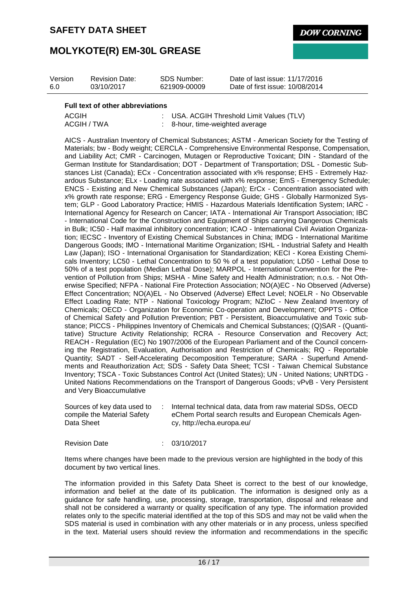**DOW CORNING** 

### **MOLYKOTE(R) EM-30L GREASE**

| Version | <b>Revision Date:</b> | SDS Number:  | Date of last issue: 11/17/2016  |
|---------|-----------------------|--------------|---------------------------------|
| 6.0     | 03/10/2017            | 621909-00009 | Date of first issue: 10/08/2014 |

#### **Full text of other abbreviations**

| ACGIH       | : USA. ACGIH Threshold Limit Values (TLV) |
|-------------|-------------------------------------------|
| ACGIH / TWA | 8-hour, time-weighted average             |

AICS - Australian Inventory of Chemical Substances; ASTM - American Society for the Testing of Materials; bw - Body weight; CERCLA - Comprehensive Environmental Response, Compensation, and Liability Act; CMR - Carcinogen, Mutagen or Reproductive Toxicant; DIN - Standard of the German Institute for Standardisation; DOT - Department of Transportation; DSL - Domestic Substances List (Canada); ECx - Concentration associated with x% response; EHS - Extremely Hazardous Substance; ELx - Loading rate associated with x% response; EmS - Emergency Schedule; ENCS - Existing and New Chemical Substances (Japan); ErCx - Concentration associated with x% growth rate response; ERG - Emergency Response Guide; GHS - Globally Harmonized System; GLP - Good Laboratory Practice; HMIS - Hazardous Materials Identification System; IARC - International Agency for Research on Cancer; IATA - International Air Transport Association; IBC - International Code for the Construction and Equipment of Ships carrying Dangerous Chemicals in Bulk; IC50 - Half maximal inhibitory concentration; ICAO - International Civil Aviation Organization; IECSC - Inventory of Existing Chemical Substances in China; IMDG - International Maritime Dangerous Goods; IMO - International Maritime Organization; ISHL - Industrial Safety and Health Law (Japan); ISO - International Organisation for Standardization; KECI - Korea Existing Chemicals Inventory; LC50 - Lethal Concentration to 50 % of a test population; LD50 - Lethal Dose to 50% of a test population (Median Lethal Dose); MARPOL - International Convention for the Prevention of Pollution from Ships; MSHA - Mine Safety and Health Administration; n.o.s. - Not Otherwise Specified; NFPA - National Fire Protection Association; NO(A)EC - No Observed (Adverse) Effect Concentration; NO(A)EL - No Observed (Adverse) Effect Level; NOELR - No Observable Effect Loading Rate; NTP - National Toxicology Program; NZIoC - New Zealand Inventory of Chemicals; OECD - Organization for Economic Co-operation and Development; OPPTS - Office of Chemical Safety and Pollution Prevention; PBT - Persistent, Bioaccumulative and Toxic substance; PICCS - Philippines Inventory of Chemicals and Chemical Substances; (Q)SAR - (Quantitative) Structure Activity Relationship; RCRA - Resource Conservation and Recovery Act; REACH - Regulation (EC) No 1907/2006 of the European Parliament and of the Council concerning the Registration, Evaluation, Authorisation and Restriction of Chemicals; RQ - Reportable Quantity; SADT - Self-Accelerating Decomposition Temperature; SARA - Superfund Amendments and Reauthorization Act; SDS - Safety Data Sheet; TCSI - Taiwan Chemical Substance Inventory; TSCA - Toxic Substances Control Act (United States); UN - United Nations; UNRTDG - United Nations Recommendations on the Transport of Dangerous Goods; vPvB - Very Persistent and Very Bioaccumulative

| Sources of key data used to | Internal technical data, data from raw material SDSs, OECD |
|-----------------------------|------------------------------------------------------------|
| compile the Material Safety | eChem Portal search results and European Chemicals Agen-   |
| Data Sheet                  | cy, http://echa.europa.eu/                                 |

Revision Date : 03/10/2017

Items where changes have been made to the previous version are highlighted in the body of this document by two vertical lines.

The information provided in this Safety Data Sheet is correct to the best of our knowledge, information and belief at the date of its publication. The information is designed only as a guidance for safe handling, use, processing, storage, transportation, disposal and release and shall not be considered a warranty or quality specification of any type. The information provided relates only to the specific material identified at the top of this SDS and may not be valid when the SDS material is used in combination with any other materials or in any process, unless specified in the text. Material users should review the information and recommendations in the specific